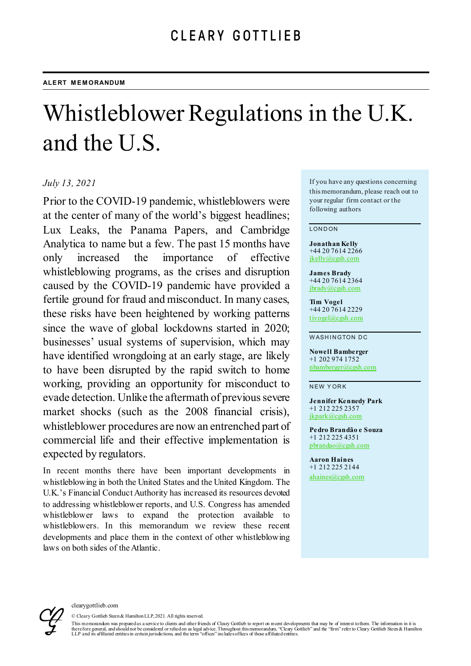# Whistleblower Regulations in the U.K. and the U.S.

## *July 13, 2021*

Prior to the COVID-19 pandemic, whistleblowers were at the center of many of the world's biggest headlines; Lux Leaks, the Panama Papers, and Cambridge Analytica to name but a few. The past 15 months have only increased the importance of effective whistleblowing programs, as the crises and disruption caused by the COVID-19 pandemic have provided a fertile ground for fraud and misconduct. In many cases, these risks have been heightened by working patterns since the wave of global lockdowns started in 2020; businesses' usual systems of supervision, which may have identified wrongdoing at an early stage, are likely to have been disrupted by the rapid switch to home working, providing an opportunity for misconduct to evade detection. Unlike the aftermath of previous severe market shocks (such as the 2008 financial crisis), whistleblower procedures are now an entrenched part of commercial life and their effective implementation is expected by regulators.

In recent months there have been important developments in whistleblowing in both the United States and the United Kingdom. The U.K.'s Financial Conduct Authority has increased its resources devoted to addressing whistleblower reports, and U.S. Congress has amended whistleblower laws to expand the protection available whistleblowers. In this memorandum we review these recent developments and place them in the context of other whistleblowing laws on both sides of the Atlantic.

If you have any questions concerning this memorandum, please reach out to your regular firm contact or the following authors

#### LONDON

**Jonathan Kelly** +44 20 7614 2266 [jkelly@cgsh.com](mailto:jkelly@cgsh.com)

**James Brady** +44 20 7614 2364 [jbrady@cgsh.com](mailto:jbrady@cgsh.com)

**Tim Vogel** +44 20 7614 2229 [tivogel@cgsh.com](mailto:tivogel@cgsh.com)

WASHINGTON DC

**Nowell Bamberger** +1 202 974 1752 [nbamberger@cgsh.com](mailto:nbamberger@cgsh.com)

NEW YORK

**Jennifer Kennedy Park** +1 212 225 2357 [jkpark@cgsh.com](mailto:jkpark@cgsh.com)

**Pedro Brandão e Souza** +1 212 225 4351 [pbrandao@cgsh.com](mailto:pbrandao@cgsh.com)

**Aaron Haines** +1 212 225 2144 [ahaines@cgsh.com](mailto:ahaines@cgsh.com)



© Cleary Gottlieb Steen & Hamilton LLP, 2021. All rights reserved.

This memorandum was prepared as a service to clients and other friends of Cleary Gottlieb to report on recent developments that may be of interest to them. The information in it is<br>there fore general, and should not be con LLP and its affiliated entities in certain jurisdictions, and the term "offices" includes offices of those affiliated entities.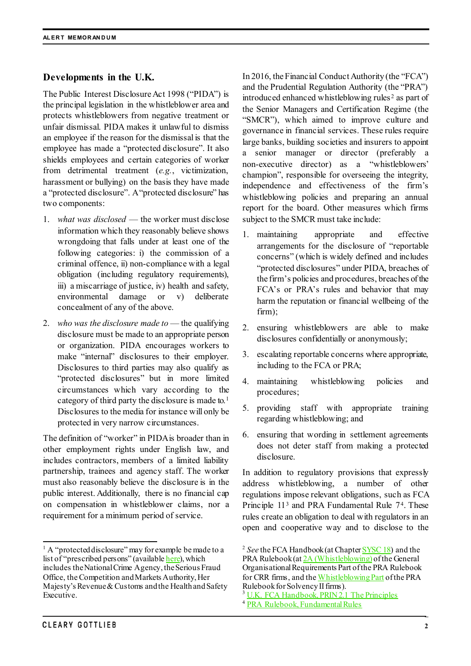## **Developments in the U.K.**

The Public Interest Disclosure Act 1998 ("PIDA") is the principal legislation in the whistleblower area and protects whistleblowers from negative treatment or unfair dismissal. PIDA makes it unlawful to dismiss an employee if the reason for the dismissal is that the employee has made a "protected disclosure". It also shields employees and certain categories of worker from detrimental treatment (*e.g.*, victimization, harassment or bullying) on the basis they have made a "protected disclosure". A "protected disclosure" has two components:

- 1. *what was disclosed* the worker must disclose information which they reasonably believe shows wrongdoing that falls under at least one of the following categories: i) the commission of a criminal offence, ii) non-compliance with a legal obligation (including regulatory requirements), iii) a miscarriage of justice, iv) health and safety, environmental damage or v) deliberate concealment of any of the above.
- 2. *who was the disclosure made to* the qualifying disclosure must be made to an appropriate person or organization. PIDA encourages workers to make "internal" disclosures to their employer. Disclosures to third parties may also qualify as "protected disclosures" but in more limited circumstances which vary according to the category of third party the disclosure is made to.[1](#page-1-0) Disclosures to the media for instance will only be protected in very narrow circumstances.

The definition of "worker" in PIDA is broader than in other employment rights under English law, and includes contractors, members of a limited liability partnership, trainees and agency staff. The worker must also reasonably believe the disclosure is in the public interest. Additionally, there is no financial cap on compensation in whistleblower claims, nor a requirement for a minimum period of service.

In 2016, the Financial Conduct Authority (the "FCA") and the Prudential Regulation Authority (the "PRA") introduced enhanced whistleblowing rules [2](#page-1-0) as part of the Senior Managers and Certification Regime (the "SMCR"), which aimed to improve culture and governance in financial services. These rules require large banks, building societies and insurers to appoint a senior manager or director (preferably a non-executive director) as a "whistleblowers' champion", responsible for overseeing the integrity, independence and effectiveness of the firm's whistleblowing policies and preparing an annual report for the board. Other measures which firms subject to the SMCR must take include:

- 1. maintaining appropriate and effective arrangements for the disclosure of "reportable concerns" (which is widely defined and includes "protected disclosures" under PIDA, breaches of the firm's policies and procedures, breaches of the FCA's or PRA's rules and behavior that may harm the reputation or financial wellbeing of the firm);
- 2. ensuring whistleblowers are able to make disclosures confidentially or anonymously;
- 3. escalating reportable concerns where appropriate, including to the FCA or PRA;
- 4. maintaining whistleblowing policies and procedures;
- 5. providing staff with appropriate training regarding whistleblowing; and
- 6. ensuring that wording in settlement agreements does not deter staff from making a protected disclosure.

In addition to regulatory provisions that expressly address whistleblowing, a number of other regulations impose relevant obligations, such as FCA Principle 11<sup>[3](#page-1-1)</sup> and PRA Fundamental Rule 7<sup>[4](#page-1-2)</sup>. These rules create an obligation to deal with regulators in an open and cooperative way and to disclose to the

<span id="page-1-2"></span><span id="page-1-1"></span><span id="page-1-0"></span> $<sup>1</sup>$  A "protected disclosure" may for example be made to a</sup> list of "prescribed persons" (availabl[e here](https://www.gov.uk/government/publications/blowing-the-whistle-list-of-prescribed-people-and-bodies--2/whistleblowing-list-of-prescribed-people-and-bodies)), which includes the National Crime Agency, the Serious Fraud Office, the Competition and Markets Authority,Her Majesty's Revenue & Customs andthe Health and Safety Executive.

<sup>2</sup> *See* the FCA Handbook (at Chapte[r SYSC 18\)](https://www.handbook.fca.org.uk/handbook/SYSC/18/?view=chapter) and the PRA Rulebook (a[t 2A \(Whistleblowing\)](https://www.prarulebook.co.uk/rulebook/Content/Chapter/307285/) of the General Organisational Requirements Part of the PRA Rulebook for CRR firms, and th[e Whistleblowing Part](https://www.prarulebook.co.uk/rulebook/Content/Part/307292/) of the PRA Rulebook for Solvency II firms).

<sup>&</sup>lt;sup>3</sup> U.K. [FCA Handbook, PRIN 2.1 The Principles](https://www.handbook.fca.org.uk/handbook/PRIN/2/1.html)

<sup>4</sup> [PRA Rulebook, Fundamental Rules](https://www.prarulebook.co.uk/rulebook/Content/Part/211136/12-05-2021#211136)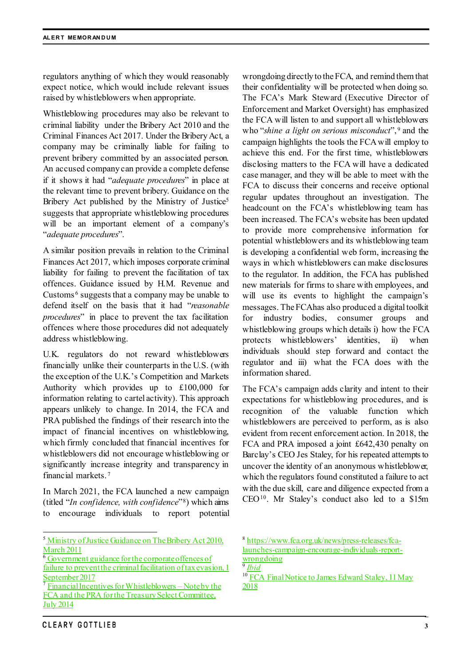regulators anything of which they would reasonably expect notice, which would include relevant issues raised by whistleblowers when appropriate.

Whistleblowing procedures may also be relevant to criminal liability under the Bribery Act 2010 and the Criminal Finances Act 2017. Under the Bribery Act, a company may be criminally liable for failing to prevent bribery committed by an associated person. An accused company can provide a complete defense if it shows it had "*adequate procedures*" in place at the relevant time to prevent bribery. Guidance on the Bribery Act published by the Ministry of Justice<sup>[5](#page-2-0)</sup> suggests that appropriate whistleblowing procedures will be an important element of a company's "*adequate procedures*".

A similar position prevails in relation to the Criminal Finances Act 2017, which imposes corporate criminal liability for failing to prevent the facilitation of tax offences. Guidance issued by H.M. Revenue and Customs<sup> $6$ </sup> suggests that a company may be unable to defend itself on the basis that it had "*reasonable procedures*" in place to prevent the tax facilitation offences where those procedures did not adequately address whistleblowing.

U.K. regulators do not reward whistleblowers financially unlike their counterparts in the U.S. (with the exception of the U.K.'s Competition and Markets Authority which provides up to £100,000 for information relating to cartel activity). This approach appears unlikely to change. In 2014, the FCA and PRA published the findings of their research into the impact of financial incentives on whistleblowing, which firmly concluded that financial incentives for whistleblowers did not encourage whistleblowing or significantly increase integrity and transparency in financial markets. [7](#page-2-2)

In March 2021, the FCA launched a new campaign (titled "*In confidence, with confidence*"[8](#page-2-0)) which aims to encourage individuals to report potential

wrongdoing directly to the FCA, and remind them that their confidentiality will be protected when doing so. The FCA's Mark Steward (Executive Director of Enforcement and Market Oversight) has emphasized the FCA will listen to and support all whistleblowers who "*shine a light on serious misconduct*", [9](#page-2-3) and the campaign highlights the tools the FCA will employ to achieve this end. For the first time, whistleblowers disclosing matters to the FCA will have a dedicated case manager, and they will be able to meet with the FCA to discuss their concerns and receive optional regular updates throughout an investigation. The headcount on the FCA's whistleblowing team has been increased. The FCA's website has been updated to provide more comprehensive information for potential whistleblowers and its whistleblowing team is developing a confidential web form, increasing the ways in which whistleblowers can make disclosures to the regulator. In addition, the FCA has published new materials for firms to share with employees, and will use its events to highlight the campaign's messages. The FCA has also produced a digital toolkit for industry bodies, consumer groups and whistleblowing groups which details i) how the FCA protects whistleblowers' identities, ii) when individuals should step forward and contact the regulator and iii) what the FCA does with the information shared.

The FCA's campaign adds clarity and intent to their expectations for whistleblowing procedures, and is recognition of the valuable function which whistleblowers are perceived to perform, as is also evident from recent enforcement action. In 2018, the FCA and PRA imposed a joint £642,430 penalty on Barclay's CEO Jes Staley, for his repeated attempts to uncover the identity of an anonymous whistleblower, which the regulators found constituted a failure to act with the due skill, care and diligence expected from a CEO[10.](#page-2-4) Mr Staley's conduct also led to a \$15m

<sup>9</sup> *[Ibid](https://www.fca.org.uk/news/press-releases/fca-launches-campaign-encourage-individuals-report-wrongdoing)*

<span id="page-2-0"></span><sup>&</sup>lt;sup>5</sup> [Ministry of Justice Guidance on The Bribery Act 2010,](http://www.justice.gov.uk/downloads/legislation/bribery-act-2010-guidance.pdf) March 2011

<span id="page-2-1"></span><sup>&</sup>lt;sup>6</sup> Government guidance for the corporate offences of [failure to prevent the criminal facilitation of tax evasion](https://assets.publishing.service.gov.uk/government/uploads/system/uploads/attachment_data/file/672231/Tackling-tax-evasion-corporate-offences.pdf), 1

<span id="page-2-4"></span><span id="page-2-3"></span><span id="page-2-2"></span>September 2017<br><sup>7</sup> Financial Incentives for Whistleblowers – Note by the FCA and the PRA for the Treasury Select Committee, July 2014

**CLEARY GOTTLIEB** 

<sup>8</sup> [https://www.fca.org.uk/news/press-releases/fca](https://www.fca.org.uk/news/press-releases/fca-launches-campaign-encourage-individuals-report-wrongdoing)[launches-campaign-encourage-individuals-report](https://www.fca.org.uk/news/press-releases/fca-launches-campaign-encourage-individuals-report-wrongdoing) $rac{1}{\sqrt{2\pi}} \frac{\tan \theta}{\sin \theta}$ 

<sup>&</sup>lt;sup>10</sup> FCA Final Notice to James Edward Staley, 11 May [2018](https://www.fca.org.uk/publication/final-notices/mr-james-edward-staley-2018.pdf)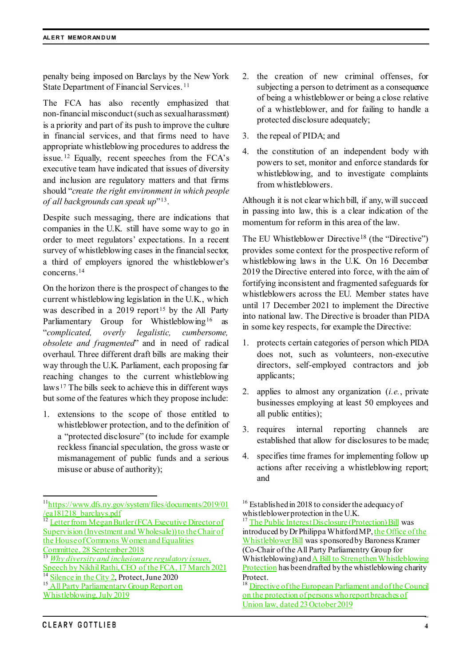penalty being imposed on Barclays by the New York State Department of Financial Services. [11](#page-3-0)

The FCA has also recently emphasized that non-financial misconduct(such as sexual harassment) is a priority and part of its push to improve the culture in financial services, and that firms need to have appropriate whistleblowing procedures to address the issue. [12](#page-3-1) Equally, recent speeches from the FCA's executive team have indicated that issues of diversity and inclusion are regulatory matters and that firms should "*create the right environment in which people of all backgrounds can speak up*"[13](#page-3-2).

Despite such messaging, there are indications that companies in the U.K. still have some way to go in order to meet regulators' expectations. In a recent survey of whistleblowing cases in the financial sector, a third of employers ignored the whistleblower's concerns.[14](#page-3-3)

On the horizon there is the prospect of changes to the current whistleblowing legislation in the U.K., which was described in a  $2019$  report<sup>[15](#page-3-4)</sup> by the All Party Parliamentary Group for Whistleblowing<sup>[16](#page-3-0)</sup> as "*complicated, overly legalistic, cumbersome, obsolete and fragmented*" and in need of radical overhaul. Three different draft bills are making their way through the U.K. Parliament, each proposing far reaching changes to the current whistleblowing laws [17](#page-3-1) The bills seek to achieve this in different ways but some of the features which they propose include:

1. extensions to the scope of those entitled to whistleblower protection, and to the definition of a "protected disclosure" (to include for example reckless financial speculation, the gross waste or mismanagement of public funds and a serious misuse or abuse of authority);

- 2. the creation of new criminal offenses, for subjecting a person to detriment as a consequence of being a whistleblower or being a close relative of a whistleblower, and for failing to handle a protected disclosure adequately;
- 3. the repeal of PIDA; and
- 4. the constitution of an independent body with powers to set, monitor and enforce standards for whistleblowing, and to investigate complaints from whistleblowers.

Although it is not clear which bill, if any, will succeed in passing into law, this is a clear indication of the momentum for reform in this area of the law.

The EU Whistleblower Directive<sup>[18](#page-3-4)</sup> (the "Directive") provides some context for the prospective reform of whistleblowing laws in the U.K. On 16 December 2019 the Directive entered into force, with the aim of fortifying inconsistent and fragmented safeguards for whistleblowers across the EU. Member states have until 17 December 2021 to implement the Directive into national law. The Directive is broader than PIDA in some key respects, for example the Directive:

- 1. protects certain categories of person which PIDA does not, such as volunteers, non-executive directors, self-employed contractors and job applicants;
- 2. applies to almost any organization (*i.e.*, private businesses employing at least 50 employees and all public entities);
- 3. requires internal reporting channels are established that allow for disclosures to be made;
- 4. specifies time frames for implementing follow up actions after receiving a whistleblowing report; and

introduced by Dr Philippa Whitford MP[, the Office of the](https://bills.parliament.uk/bills/2589)  [Whistleblower Bill](https://bills.parliament.uk/bills/2589) was sponsored by Baroness Kramer (Co-Chair of the All Party Parliamentry Group for Whistleblowing) an[d A Bill to Strengthen Whistleblowing](https://public-concern-at-work.s3.eu-west-1.amazonaws.com/wp-content/uploads/images/2021/03/16100933/Draft-Bill-March-2021.pdf)  [Protection](https://public-concern-at-work.s3.eu-west-1.amazonaws.com/wp-content/uploads/images/2021/03/16100933/Draft-Bill-March-2021.pdf) has been drafted by the whistleblowing charity Protect.

<span id="page-3-0"></span> <sup>1</sup>[1https://www.dfs.ny.gov/system/files/documents/2019/01](https://www.dfs.ny.gov/system/files/documents/2019/01/ea181218_barclays.pdf) [/ea181218\\_barclays.pdf](https://www.dfs.ny.gov/system/files/documents/2019/01/ea181218_barclays.pdf)

<span id="page-3-1"></span><sup>&</sup>lt;sup>12</sup> Letter from Megan Butler (FCA Executive Director of Supervision (Investment and Wholesale)) to the Chair of [the House of Commons Women and Equalities](https://www.fca.org.uk/publication/correspondence/wec-letter.pdf)  [Committee, 28 September 2018](https://www.fca.org.uk/publication/correspondence/wec-letter.pdf)

<span id="page-3-2"></span><sup>13</sup> *[Why diversity and inclusion are regulatory issues](https://www.fca.org.uk/news/speeches/why-diversity-and-inclusion-are-regulatory-issues)*, [Speech by Nikhil Rathi, CEO of the](https://www.fca.org.uk/news/speeches/why-diversity-and-inclusion-are-regulatory-issues) FCA, 17 March 2021<br><sup>14</sup> Silence in the City 2, Protect, June 2020

<span id="page-3-4"></span><span id="page-3-3"></span>

<sup>&</sup>lt;sup>15</sup> All Party Parliamentary Group Report on

[Whistleblowing, July 2019](https://docs.wixstatic.com/ugd/88d04c_9754e54bc641443db902cd963687cb55.pdf)

<sup>&</sup>lt;sup>16</sup> Established in 2018 to consider the adequacy of whistleblower protection in the U.K.<br><sup>17</sup> [The Public Interest Disclosure \(Protection\) Bill](https://bills.parliament.uk/bills/2630) was

<sup>&</sup>lt;sup>18</sup> Directive of the European Parliament and of the Council [on the protection of persons who report breaches of](https://eur-lex.europa.eu/legal-content/EN/TXT/PDF/?uri=CELEX:32019L1937&from=en)  [Union law, dated 23 October 2019](https://eur-lex.europa.eu/legal-content/EN/TXT/PDF/?uri=CELEX:32019L1937&from=en)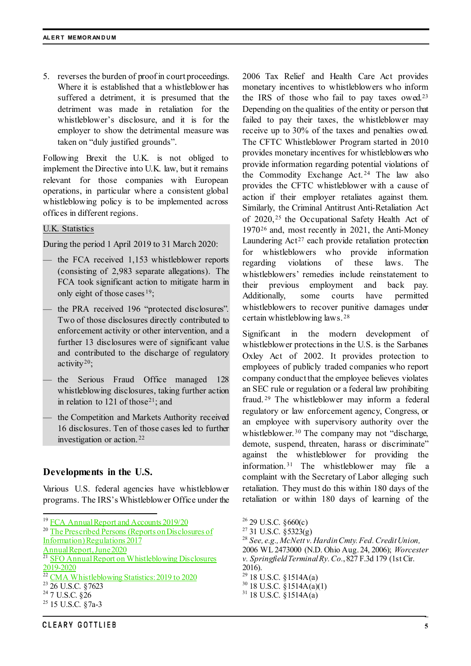5. reverses the burden of proof in court proceedings. Where it is established that a whistleblower has suffered a detriment, it is presumed that the detriment was made in retaliation for the whistleblower's disclosure, and it is for the employer to show the detrimental measure was taken on "duly justified grounds".

Following Brexit the U.K. is not obliged to implement the Directive into U.K. law, but it remains relevant for those companies with European operations, in particular where a consistent global whistleblowing policy is to be implemented across offices in different regions.

U.K. Statistics

During the period 1 April 2019 to 31 March 2020:

- the FCA received 1,153 whistleblower reports (consisting of 2,983 separate allegations). The FCA took significant action to mitigate harm in only eight of those cases [19](#page-4-0);
- the PRA received 196 "protected disclosures". Two of those disclosures directly contributed to enforcement activity or other intervention, and a further 13 disclosures were of significant value and contributed to the discharge of regulatory activity<sup>[20](#page-4-1)</sup>;
- the Serious Fraud Office managed 128 whistleblowing disclosures, taking further action in relation to  $121$  $121$  of those<sup>21</sup>; and
- the Competition and Markets Authority received 16 disclosures. Ten of those cases led to further investigation or action. [22](#page-4-3)

## **Developments in the U.S.**

Various U.S. federal agencies have whistleblower programs. The IRS's Whistleblower Office under the

<span id="page-4-7"></span>[Information\) Regulations 2017](https://www.bankofengland.co.uk/-/media/boe/files/annual-report/2020/prescribed-persons-reports-on-disclosures-of-information-regulations-annual-report-2020.pdf?la=en&hash=C48530BF31EF4114DD1CBD990325FECEAB4E867C)

[Annual Report, June 2020](https://www.bankofengland.co.uk/-/media/boe/files/annual-report/2020/prescribed-persons-reports-on-disclosures-of-information-regulations-annual-report-2020.pdf?la=en&hash=C48530BF31EF4114DD1CBD990325FECEAB4E867C)

- <span id="page-4-4"></span>
- <span id="page-4-5"></span>

2006 Tax Relief and Health Care Act provides monetary incentives to whistleblowers who inform the IRS of those who fail to pay taxes owed.[23](#page-4-4) Depending on the qualities of the entity or person that failed to pay their taxes, the whistleblower may receive up to 30% of the taxes and penalties owed. The CFTC Whistleblower Program started in 2010 provides monetary incentives for whistleblowers who provide information regarding potential violations of the Commodity Exchange Act. [24](#page-4-5) The law also provides the CFTC whistleblower with a cause of action if their employer retaliates against them. Similarly, the Criminal Antitrust Anti-Retaliation Act of 2020, [25](#page-4-6) the Occupational Safety Health Act of 1970[26](#page-4-0) and, most recently in 2021, the Anti-Money Laundering  $Act^{27}$  $Act^{27}$  $Act^{27}$  each provide retaliation protection for whistleblowers who provide information regarding violations of these laws. The whistleblowers' remedies include reinstatement to their previous employment and back pay. Additionally, some courts have permitted whistleblowers to recover punitive damages under certain whistleblowing laws. [28](#page-4-7)

Significant in the modern development of whistleblower protections in the U.S. is the Sarbanes Oxley Act of 2002. It provides protection to employees of publicly traded companies who report company conduct that the employee believes violates an SEC rule or regulation or a federal law prohibiting fraud. [29](#page-4-3) The whistleblower may inform a federal regulatory or law enforcement agency, Congress, or an employee with supervisory authority over the whistleblower.<sup>[30](#page-4-4)</sup> The company may not "discharge, demote, suspend, threaten, harass or discriminate" against the whistleblower for providing the information. [31](#page-4-5) The whistleblower may file a complaint with the Secretary of Labor alleging such retaliation. They must do this within 180 days of the retaliation or within 180 days of learning of the

- <sup>28</sup> See, e.g., McNett v. Hardin Cmty. Fed. Credit Union,
- 2006 WL 2473000 (N.D. Ohio Aug. 24, 2006); *Worcester v. Springfield Terminal Ry. Co.*, 827 F.3d 179 (1st Cir.
- 
- 2016).<br><sup>29</sup> 18 U.S.C. § 1514A(a)
- $^{30}$  18 U.S.C.  $\check{\S}$ 1514A(a)(1)<br><sup>31</sup> 18 U.S.C.  $\check{\S}$ 1514A(a)
- 

<span id="page-4-0"></span><sup>&</sup>lt;sup>19</sup> [FCA Annual Report and Accounts 2019/20](https://www.fca.org.uk/publication/annual-reports/annual-report-2019-20.pdf)

<span id="page-4-1"></span><sup>&</sup>lt;sup>20</sup> [The Prescribed Persons \(Reports on Disclosures](https://www.bankofengland.co.uk/-/media/boe/files/annual-report/2020/prescribed-persons-reports-on-disclosures-of-information-regulations-annual-report-2020.pdf?la=en&hash=C48530BF31EF4114DD1CBD990325FECEAB4E867C) of

<span id="page-4-2"></span><sup>&</sup>lt;sup>21</sup> SFO Annual Report on Whistleblowing Disclosures 2019-2020

<span id="page-4-3"></span> $\frac{22 \text{ CMA Whistleblowing Statistics: } 2019 \text{ to } 2020}{23 \cdot 26 \text{ U.S.C. } §7623}$ <br><sup>24</sup> 7 U.S.C. §26

<span id="page-4-6"></span> $25$  15 U.S.C.  $\S$ 7a-3

 $^{26}$  29 U.S.C. §660(c)<br> $^{27}$  31 U.S.C. §5323(g)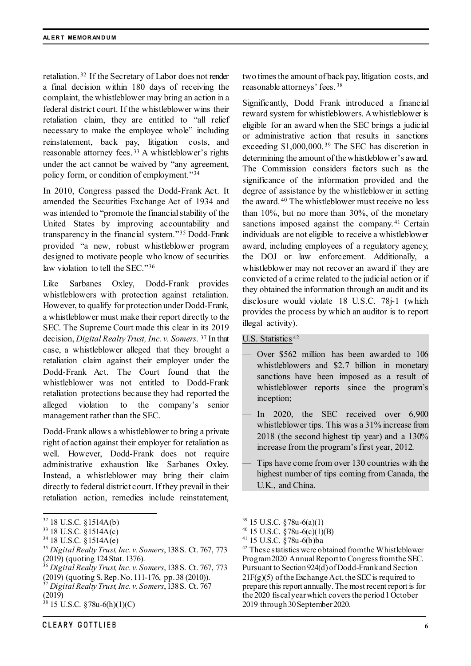retaliation. [32](#page-5-0) If the Secretary of Labor does not render a final decision within 180 days of receiving the complaint, the whistleblower may bring an action in a federal district court. If the whistleblower wins their retaliation claim, they are entitled to "all relief necessary to make the employee whole" including reinstatement, back pay, litigation costs, and reasonable attorney fees. [33](#page-5-1) A whistleblower's rights under the act cannot be waived by "any agreement, policy form, or condition of employment."[34](#page-5-2)

In 2010, Congress passed the Dodd-Frank Act. It amended the Securities Exchange Act of 1934 and was intended to "promote the financial stability of the United States by improving accountability and transparency in the financial system."[35](#page-5-3) Dodd-Frank provided "a new, robust whistleblower program designed to motivate people who know of securities law violation to tell the SEC."[36](#page-5-4)

Like Sarbanes Oxley, Dodd-Frank provides whistleblowers with protection against retaliation. However, to qualify for protection under Dodd-Frank, a whistleblower must make their report directly to the SEC. The Supreme Court made this clear in its 2019 decision, *Digital Realty Trust, Inc. v. Somers*. [37](#page-5-5) In that case, a whistleblower alleged that they brought a retaliation claim against their employer under the Dodd-Frank Act. The Court found that the whistleblower was not entitled to Dodd-Frank retaliation protections because they had reported the alleged violation to the company's senior management rather than the SEC.

Dodd-Frank allows a whistleblower to bring a private right of action against their employer for retaliation as well. However, Dodd-Frank does not require administrative exhaustion like Sarbanes Oxley. Instead, a whistleblower may bring their claim directly to federal district court. If they prevail in their retaliation action, remedies include reinstatement,

- <span id="page-5-2"></span> $34$  18 U.S.C.  $\S$ 1514A(e)
- <span id="page-5-3"></span><sup>35</sup> *Digital Realty Trust, Inc. v. Somers*, 138S. Ct. 767, 773
- <span id="page-5-4"></span>(2019) (quoting 124 Stat. 1376). <sup>36</sup> *Digital Realty Trust, Inc. v. Somers*, 138S. Ct. 767, 773 (2019) (quoting S. Rep. No. 111-176, pp. 38 (2010)). <sup>37</sup> *Digital Realty Trust, Inc. v. Somers*, 138S. Ct. 767
- <span id="page-5-5"></span>(2019)

two times the amount of back pay, litigation costs, and reasonable attorneys' fees. [38](#page-5-6)

Significantly, Dodd Frank introduced a financial reward system for whistleblowers. A whistleblower is eligible for an award when the SEC brings a judicial or administrative action that results in sanctions exceeding \$1,000,000. [39](#page-5-0) The SEC has discretion in determining the amount of the whistleblower's award. The Commission considers factors such as the significance of the information provided and the degree of assistance by the whistleblower in setting the award. [40](#page-5-1) The whistleblower must receive no less than 10%, but no more than 30%, of the monetary sanctions imposed against the company.<sup>[41](#page-5-2)</sup> Certain individuals are not eligible to receive a whistleblower award, including employees of a regulatory agency, the DOJ or law enforcement. Additionally, a whistleblower may not recover an award if they are convicted of a crime related to the judicial action or if they obtained the information through an audit and its disclosure would violate 18 U.S.C. 78j-1 (which provides the process by which an auditor is to report illegal activity).

## U.S. Statistics [42](#page-5-3)

- Over \$562 million has been awarded to 106 whistleblowers and \$2.7 billion in monetary sanctions have been imposed as a result of whistleblower reports since the program's inception;
- In 2020, the SEC received over 6,900 whistleblower tips. This was a 31% increase from 2018 (the second highest tip year) and a 130% increase from the program's first year, 2012.
- Tips have come from over 130 countries with the highest number of tips coming from Canada, the U.K., and China.

<span id="page-5-1"></span><span id="page-5-0"></span> $32$  18 U.S.C. §1514A(b)<br> $33$  18 U.S.C. §1514A(c)

<span id="page-5-6"></span><sup>38</sup> 15 U.S.C. §78u-6(h)(1)(C)

 $39$  15 U.S.C. §78u-6(a)(1)

 $^{40}$  15 U.S.C. §78u-6(c)(1)(B)<br> $^{41}$  15 U.S.C. §78u-6(b)ba

<sup>&</sup>lt;sup>42</sup> These statistics were obtained from the Whistleblower Program 2020 Annual Report to Congress from the SEC. Pursuant to Section 924(d) of Dodd-Frank and Section  $21F(g)(5)$  of the Exchange Act, the SEC is required to prepare this report annually. The most recent report is for the 2020 fiscal year which covers the period 1 October 2019 through 30 September 2020.